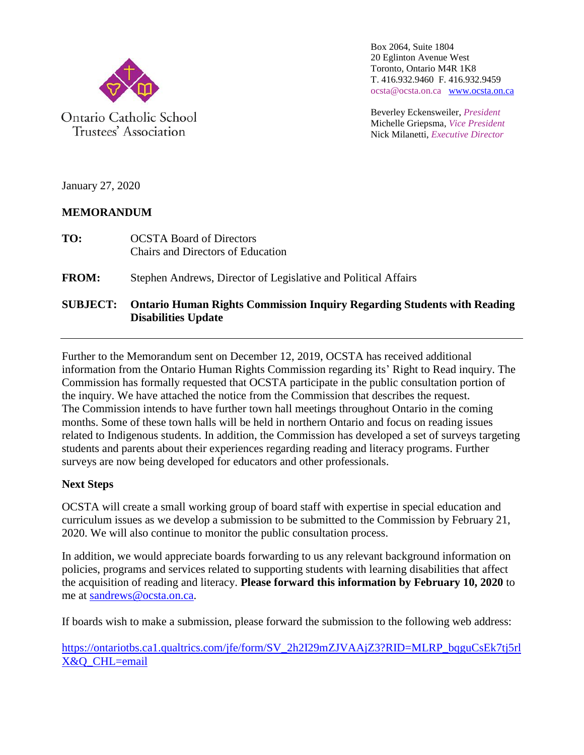

Ontario Catholic School Trustees' Association

Box 2064, Suite 1804 20 Eglinton Avenue West Toronto, Ontario M4R 1K8 T. 416.932.9460 F. 416.932.9459 ocsta@ocsta.on.ca [www.ocsta.on.ca](http://www.ocsta.on.ca/)

Beverley Eckensweiler, *President* Michelle Griepsma, *Vice President* Nick Milanetti, *Executive Director*

January 27, 2020

# **MEMORANDUM**

**TO:** OCSTA Board of Directors Chairs and Directors of Education

**FROM:** Stephen Andrews, Director of Legislative and Political Affairs

# **SUBJECT: Ontario Human Rights Commission Inquiry Regarding Students with Reading Disabilities Update**

Further to the Memorandum sent on December 12, 2019, OCSTA has received additional information from the Ontario Human Rights Commission regarding its' Right to Read inquiry. The Commission has formally requested that OCSTA participate in the public consultation portion of the inquiry. We have attached the notice from the Commission that describes the request. The Commission intends to have further town hall meetings throughout Ontario in the coming months. Some of these town halls will be held in northern Ontario and focus on reading issues related to Indigenous students. In addition, the Commission has developed a set of surveys targeting students and parents about their experiences regarding reading and literacy programs. Further surveys are now being developed for educators and other professionals.

# **Next Steps**

OCSTA will create a small working group of board staff with expertise in special education and curriculum issues as we develop a submission to be submitted to the Commission by February 21, 2020. We will also continue to monitor the public consultation process.

In addition, we would appreciate boards forwarding to us any relevant background information on policies, programs and services related to supporting students with learning disabilities that affect the acquisition of reading and literacy. **Please forward this information by February 10, 2020** to me at [sandrews@ocsta.on.ca.](mailto:sandrews@ocsta.on.ca)

If boards wish to make a submission, please forward the submission to the following web address:

[https://ontariotbs.ca1.qualtrics.com/jfe/form/SV\\_2h2I29mZJVAAjZ3?RID=MLRP\\_bqguCsEk7tj5rl](https://ontariotbs.ca1.qualtrics.com/jfe/form/SV_2h2I29mZJVAAjZ3?RID=MLRP_bqguCsEk7tj5rlX&Q_CHL=email) [X&Q\\_CHL=email](https://ontariotbs.ca1.qualtrics.com/jfe/form/SV_2h2I29mZJVAAjZ3?RID=MLRP_bqguCsEk7tj5rlX&Q_CHL=email)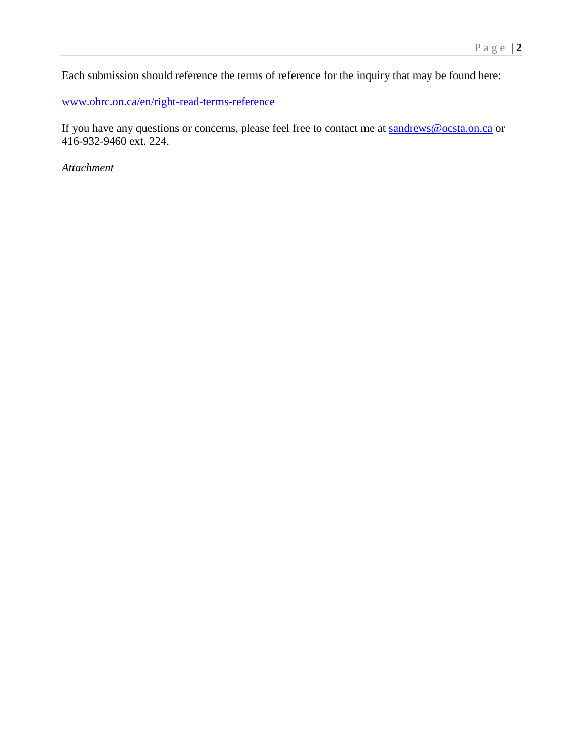Each submission should reference the terms of reference for the inquiry that may be found here:

[www.ohrc.on.ca/en/right-read-terms-reference](http://www.ohrc.on.ca/en/right-read-terms-reference)

If you have any questions or concerns, please feel free to contact me at [sandrews@ocsta.on.ca](mailto:sandrews@ocsta.on.ca) or 416-932-9460 ext. 224.

*Attachment*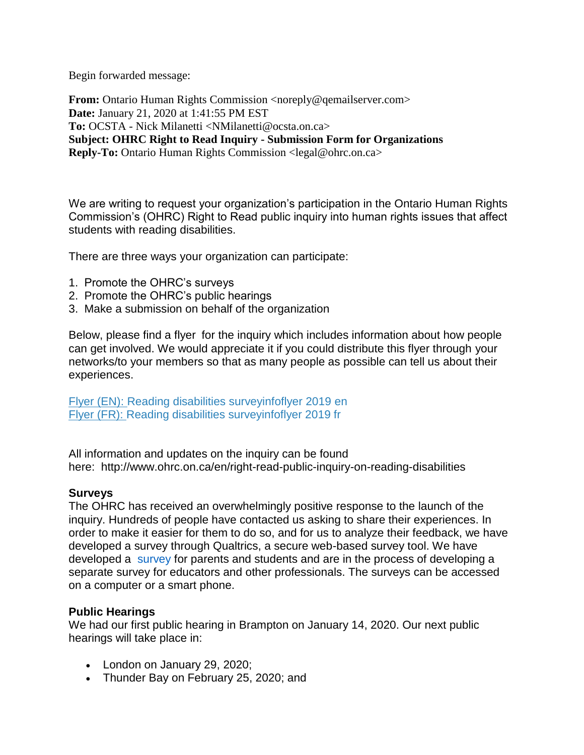Begin forwarded message:

**From:** Ontario Human Rights Commission [<noreply@qemailserver.com>](mailto:noreply@qemailserver.com) **Date:** January 21, 2020 at 1:41:55 PM EST **To:** OCSTA - Nick Milanetti [<NMilanetti@ocsta.on.ca>](mailto:NMilanetti@ocsta.on.ca) **Subject: OHRC Right to Read Inquiry - Submission Form for Organizations Reply-To:** Ontario Human Rights Commission [<legal@ohrc.on.ca>](mailto:legal@ohrc.on.ca)

We are writing to request your organization's participation in the Ontario Human Rights Commission's (OHRC) Right to Read public inquiry into human rights issues that affect students with reading disabilities.

There are three ways your organization can participate:

- 1. Promote the OHRC's surveys
- 2. Promote the OHRC's public hearings
- 3. Make a submission on behalf of the organization

Below, please find a flyer for the inquiry which includes information about how people can get involved. We would appreciate it if you could distribute this flyer through your networks/to your members so that as many people as possible can tell us about their experiences.

Flyer (EN): [Reading disabilities surveyinfoflyer 2019 en](https://ontariotbs.ca1.qualtrics.com/CP/File.php?F=F_es02oB4FrDq8u2x) Flyer (FR): [Reading disabilities surveyinfoflyer 2019 fr](https://ontariotbs.ca1.qualtrics.com/CP/File.php?F=F_bwKJJtGl8KaoNa5)

All information and updates on the inquiry can be found here: <http://www.ohrc.on.ca/en/right-read-public-inquiry-on-reading-disabilities>

## **Surveys**

The OHRC has received an overwhelmingly positive response to the launch of the inquiry. Hundreds of people have contacted us asking to share their experiences. In order to make it easier for them to do so, and for us to analyze their feedback, we have developed a survey through Qualtrics, a secure web-based survey tool. We have developed a [survey](https://ontariotbs.ca1.qualtrics.com/jfe/form/SV_4TwifRctQYohRoV?SG=01) for parents and students and are in the process of developing a separate survey for educators and other professionals. The surveys can be accessed on a computer or a smart phone.

## **Public Hearings**

We had our first public hearing in Brampton on January 14, 2020. Our next public hearings will take place in:

- London on January 29, 2020;
- Thunder Bay on February 25, 2020; and